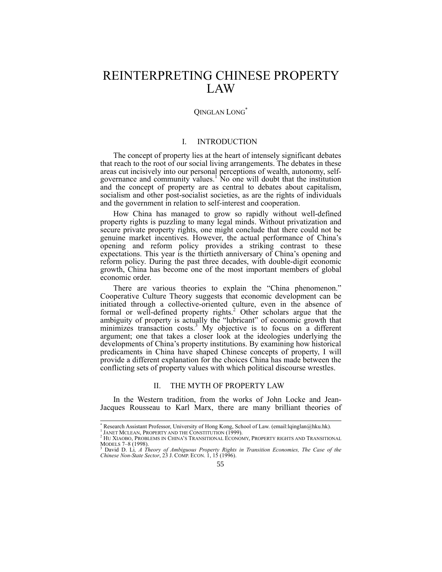# REINTERPRETING CHINESE PROPERTY LAW

# QINGLAN LONG\*

## I. INTRODUCTION

The concept of property lies at the heart of intensely significant debates that reach to the root of our social living arrangements. The debates in these areas cut incisively into our personal perceptions of wealth, autonomy, selfgovernance and community values.<sup>1</sup> No one will doubt that the institution and the concept of property are as central to debates about capitalism, socialism and other post-socialist societies, as are the rights of individuals and the government in relation to self-interest and cooperation.

How China has managed to grow so rapidly without well-defined property rights is puzzling to many legal minds. Without privatization and secure private property rights, one might conclude that there could not be genuine market incentives. However, the actual performance of China's opening and reform policy provides a striking contrast to these expectations. This year is the thirtieth anniversary of China's opening and reform policy. During the past three decades, with double-digit economic growth, China has become one of the most important members of global economic order.

There are various theories to explain the "China phenomenon." Cooperative Culture Theory suggests that economic development can be initiated through a collective-oriented culture, even in the absence of formal or well-defined property rights.<sup>2</sup> Other scholars argue that the ambiguity of property is actually the "lubricant" of economic growth that minimizes transaction costs.<sup>3</sup> My objective is to focus on a different argument; one that takes a closer look at the ideologies underlying the developments of China's property institutions. By examining how historical predicaments in China have shaped Chinese concepts of property, I will provide a different explanation for the choices China has made between the conflicting sets of property values with which political discourse wrestles.

#### II. THE MYTH OF PROPERTY LAW

In the Western tradition, from the works of John Locke and Jean-Jacques Rousseau to Karl Marx, there are many brilliant theories of

 $\overline{a}$ \* Research Assistant Professor, University of Hong Kong, School of Law. (email:lqinglan@hku.hk).

<sup>1</sup> JANET MCLEAN, PROPERTY AND THE CONSTITUTION (1999).

<sup>2</sup> HU XIAOBO, PROBLEMS IN CHINA'S TRANSITIONAL ECONOMY, PROPERTY RIGHTS AND TRANSITIONAL MODELS 7–8 (1998).

<sup>3</sup> David D. Li*, A Theory of Ambiguous Property Rights in Transition Economies, The Case of the Chinese Non-State Sector*, 23 J. COMP. ECON. 1, 15 (1996).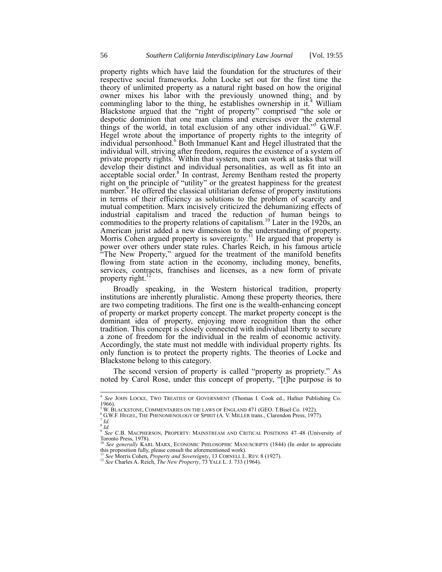property rights which have laid the foundation for the structures of their respective social frameworks. John Locke set out for the first time the theory of unlimited property as a natural right based on how the original owner mixes his labor with the previously unowned thing; and by commingling labor to the thing, he establishes ownership in  $it^4$  William Blackstone argued that the "right of property" comprised "the sole or despotic dominion that one man claims and exercises over the external things of the world, in total exclusion of any other individual."<sup>5</sup> G.W.F. Hegel wrote about the importance of property rights to the integrity of individual personhood.<sup>6</sup> Both Immanuel Kant and Hegel illustrated that the individual will, striving after freedom, requires the existence of a system of private property rights.<sup>7</sup> Within that system, men can work at tasks that will develop their distinct and individual personalities, as well as fit into an acceptable social order.<sup>8</sup> In contrast, Jeremy Bentham rested the property right on the principle of "utility" or the greatest happiness for the greatest number.<sup>9</sup> He offered the classical utilitarian defense of property institutions in terms of their efficiency as solutions to the problem of scarcity and mutual competition. Marx incisively criticized the dehumanizing effects of industrial capitalism and traced the reduction of human beings to commodities to the property relations of capitalism.<sup>10</sup> Later in the 1920s, an American jurist added a new dimension to the understanding of property. Morris Cohen argued property is sovereignty.<sup>11</sup> He argued that property is power over others under state rules. Charles Reich, in his famous article "The New Property," argued for the treatment of the manifold benefits flowing from state action in the economy, including money, benefits, services, contracts, franchises and licenses, as a new form of private property right.<sup>12</sup>

Broadly speaking, in the Western historical tradition, property institutions are inherently pluralistic. Among these property theories, there are two competing traditions. The first one is the wealth-enhancing concept of property or market property concept. The market property concept is the dominant idea of property, enjoying more recognition than the other tradition. This concept is closely connected with individual liberty to secure a zone of freedom for the individual in the realm of economic activity. Accordingly, the state must not meddle with individual property rights. Its only function is to protect the property rights. The theories of Locke and Blackstone belong to this category.

The second version of property is called "property as propriety." As noted by Carol Rose, under this concept of property, "[t]he purpose is to

 4 *See* JOHN LOCKE, TWO TREATIES OF GOVERNMENT (Thomas I. Cook ed., Hafner Publishing Co. 1966).

<sup>5</sup> W. BLACKSTONE, COMMENTARIES ON THE LAWS OF ENGLAND 471 (GEO. T.Bisel Co. 1922).

<sup>&</sup>lt;sup>6</sup> G.W.F. HEGEL, THE PHENOMENOLOGY OF SPIRIT (A. V. MILLER trans., Clarendon Press, 1977).

<sup>7</sup> *Id.*

<sup>8</sup> *Id.* 9 *See* C.B. MACPHERSON, PROPERTY: MAINSTREAM AND CRITICAL POSITIONS 47–48 (University of Toronto Press, 1978). 10 *See generally KARL MARX, ECONOMIC PHILOSOPHIC MANUSCRIPTS* (1844) (In order to appreciate

this proposition fully, please consult the aforementioned work).<br><sup>11</sup> See Morris Cohen, *Property and Sovereignty*, 13 CORNELL L. REV. 8 (1927).<br><sup>12</sup> See Charles A. Reich, *The New Property*, 73 YALE L. J. 733 (1964).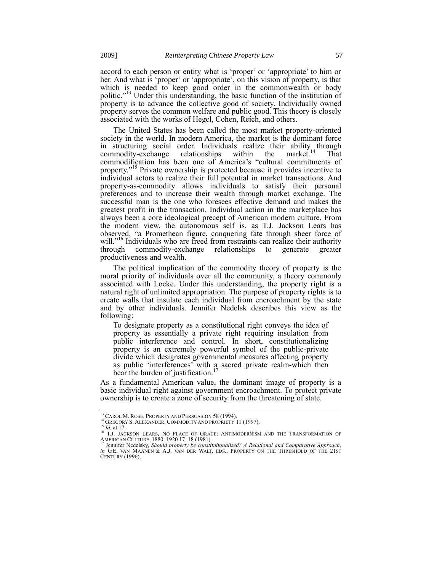accord to each person or entity what is 'proper' or 'appropriate' to him or her. And what is 'proper' or 'appropriate', on this vision of property, is that which is needed to keep good order in the commonwealth or body politic."<sup>13</sup> Under this understanding, the basic function of the institution of property is to advance the collective good of society. Individually owned property serves the common welfare and public good. This theory is closely associated with the works of Hegel, Cohen, Reich, and others.

The United States has been called the most market property-oriented society in the world. In modern America, the market is the dominant force in structuring social order. Individuals realize their ability through commodity-exchange relationships within the market.<sup>14</sup> That commodity-exchange relationships within the market.<sup>14</sup> That commodification has been one of America's "cultural commitments of property."<sup>15</sup> Private ownership is protected because it provides incentive to individual actors to realize their full potential in market transactions. And property-as-commodity allows individuals to satisfy their personal preferences and to increase their wealth through market exchange. The successful man is the one who foresees effective demand and makes the greatest profit in the transaction. Individual action in the marketplace has always been a core ideological precept of American modern culture. From the modern view, the autonomous self is, as T.J. Jackson Lears has observed, "a Promethean figure, conquering fate through sheer force of will."<sup>16</sup> Individuals who are freed from restraints can realize their authority through commodity-exchange relationships to generate greater productiveness and wealth.

The political implication of the commodity theory of property is the moral priority of individuals over all the community, a theory commonly associated with Locke. Under this understanding, the property right is a natural right of unlimited appropriation. The purpose of property rights is to create walls that insulate each individual from encroachment by the state and by other individuals. Jennifer Nedelsk describes this view as the following:

To designate property as a constitutional right conveys the idea of property as essentially a private right requiring insulation from public interference and control. In short, constitutionalizing property is an extremely powerful symbol of the public-private divide which designates governmental measures affecting property as public 'interferences' with a sacred private realm-which then bear the burden of justification.<sup>17</sup>

As a fundamental American value, the dominant image of property is a basic individual right against government encroachment. To protect private ownership is to create a zone of security from the threatening of state.

<sup>1</sup> <sup>13</sup> CAROL M. ROSE, PROPERTY AND PERSUASION 58 (1994).

<sup>&</sup>lt;sup>14</sup> GREGORY S. ALEXANDER, COMMODITY AND PROPRIETY 11 (1997).

<sup>15</sup> *Id.* at 17.

<sup>&</sup>lt;sup>16</sup> T.J. Jackson Lears, No Place of Grace: Antimodernism and the Transformation of American Culture, 1880–1920 17–18 (1981). <sup>17</sup> Jennifer Nedelsky, *Should property be constituitonalized? A Relational and Comparative Approach,*

*in* G.E. van Maanen & A.J. van der Walt, eds., Property on the Threshold of the 21st CENTURY (1996).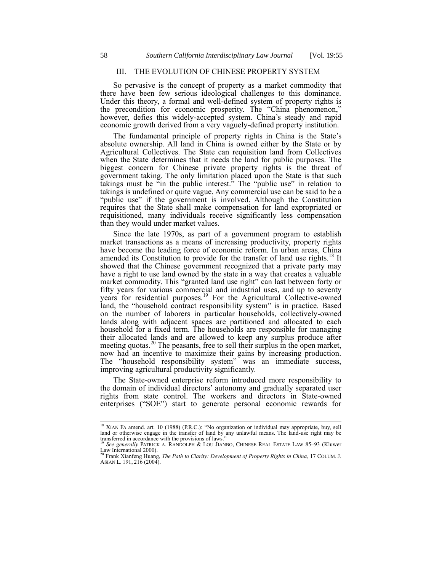### III. THE EVOLUTION OF CHINESE PROPERTY SYSTEM

So pervasive is the concept of property as a market commodity that there have been few serious ideological challenges to this dominance. Under this theory, a formal and well-defined system of property rights is the precondition for economic prosperity. The "China phenomenon," however, defies this widely-accepted system. China's steady and rapid economic growth derived from a very vaguely-defined property institution.

The fundamental principle of property rights in China is the State's absolute ownership. All land in China is owned either by the State or by Agricultural Collectives. The State can requisition land from Collectives when the State determines that it needs the land for public purposes. The biggest concern for Chinese private property rights is the threat of government taking. The only limitation placed upon the State is that such takings must be  $\ddot{\tilde{}}$  in the public interest.<sup>5</sup> The "public use" in relation to takings is undefined or quite vague. Any commercial use can be said to be a "public use" if the government is involved. Although the Constitution requires that the State shall make compensation for land expropriated or requisitioned, many individuals receive significantly less compensation than they would under market values.

Since the late 1970s, as part of a government program to establish market transactions as a means of increasing productivity, property rights have become the leading force of economic reform. In urban areas, China amended its Constitution to provide for the transfer of land use rights.<sup>18</sup> It showed that the Chinese government recognized that a private party may have a right to use land owned by the state in a way that creates a valuable market commodity. This "granted land use right" can last between forty or fifty years for various commercial and industrial uses, and up to seventy years for residential purposes.<sup>19</sup> For the Agricultural Collective-owned land, the "household contract responsibility system" is in practice. Based on the number of laborers in particular households, collectively-owned lands along with adjacent spaces are partitioned and allocated to each household for a fixed term. The households are responsible for managing their allocated lands and are allowed to keep any surplus produce after meeting quotas.<sup>20</sup> The peasants, free to sell their surplus in the open market, now had an incentive to maximize their gains by increasing production. The "household responsibility system" was an immediate success, improving agricultural productivity significantly.

The State-owned enterprise reform introduced more responsibility to the domain of individual directors' autonomy and gradually separated user rights from state control. The workers and directors in State-owned enterprises ("SOE") start to generate personal economic rewards for

<sup>&</sup>lt;sup>18</sup> XIAN FA amend. art. 10 (1988) (P.R.C.): "No organization or individual may appropriate, buy, sell land or otherwise engage in the transfer of land by any unlawful means. The land-use right may be transferred in accordance with the provisions of laws." <sup>19</sup> *See generally* PATRICK A. RANDOLPH & LOU JIANBO, CHINESE REAL ESTATE LAW 85–93 (Kluwer

Law International 2000).<br><sup>20</sup> Frank Xianfeng Huang, *The Path to Clarity: Development of Property Rights in China*, 17 COLUM. J.<br>ASIAN L. 191, 216 (2004).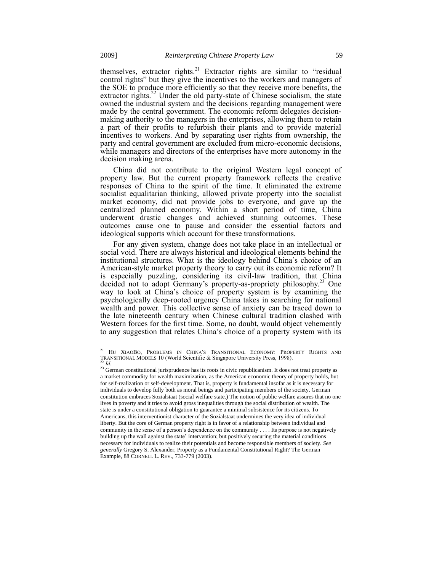themselves, extractor rights.<sup>21</sup> Extractor rights are similar to "residual control rights" but they give the incentives to the workers and managers of the SOE to produce more efficiently so that they receive more benefits, the extractor rights.<sup>22</sup> Under the old party-state of Chinese socialism, the state owned the industrial system and the decisions regarding management were made by the central government. The economic reform delegates decisionmaking authority to the managers in the enterprises, allowing them to retain a part of their profits to refurbish their plants and to provide material incentives to workers. And by separating user rights from ownership, the party and central government are excluded from micro-economic decisions, while managers and directors of the enterprises have more autonomy in the decision making arena.

China did not contribute to the original Western legal concept of property law. But the current property framework reflects the creative responses of China to the spirit of the time. It eliminated the extreme socialist equalitarian thinking, allowed private property into the socialist market economy, did not provide jobs to everyone, and gave up the centralized planned economy. Within a short period of time, China underwent drastic changes and achieved stunning outcomes. These outcomes cause one to pause and consider the essential factors and ideological supports which account for these transformations.

For any given system, change does not take place in an intellectual or social void. There are always historical and ideological elements behind the institutional structures. What is the ideology behind China's choice of an American-style market property theory to carry out its economic reform? It is especially puzzling, considering its civil-law tradition, that China decided not to adopt Germany's property-as-propriety philosophy.<sup>23</sup> One way to look at China's choice of property system is by examining the psychologically deep-rooted urgency China takes in searching for national wealth and power. This collective sense of anxiety can be traced down to the late nineteenth century when Chinese cultural tradition clashed with Western forces for the first time. Some, no doubt, would object vehemently to any suggestion that relates China's choice of a property system with its

 $\overline{1}$ 

<sup>&</sup>lt;sup>21</sup> Hu XiaoBo, Problems in China's Transitional Economy: Property Rights and TRANSITIONAL MODELS 10 (World Scientific & Singapore University Press, 1998). <sup>22</sup> *Id.*

<sup>&</sup>lt;sup>23</sup> German constitutional jurisprudence has its roots in civic republicanism. It does not treat property as a market commodity for wealth maximization, as the American economic theory of property holds, but for self-realization or self-development. That is, property is fundamental insofar as it is necessary for individuals to develop fully both as moral beings and participating members of the society. German constitution embraces Sozialstaat (social welfare state.) The notion of public welfare assures that no one lives in poverty and it tries to avoid gross inequalities through the social distribution of wealth. The state is under a constitutional obligation to guarantee a minimal subsistence for its citizens. To Americans, this interventionist character of the Sozialstaat undermines the very idea of individual liberty. But the core of German property right is in favor of a relationship between individual and community in the sense of a person's dependence on the community . . . . Its purpose is not negatively building up the wall against the state' intervention; but positively securing the material conditions necessary for individuals to realize their potentials and become responsible members of society. *See generally* Gregory S. Alexander, Property as a Fundamental Constitutional Right? The German Example, 88 CORNELL L. REV., 733-779 (2003).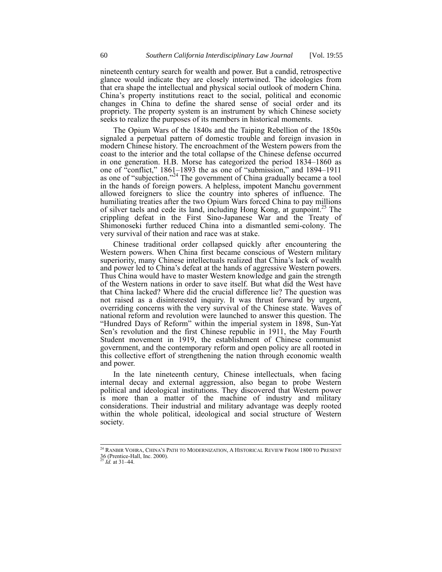nineteenth century search for wealth and power. But a candid, retrospective glance would indicate they are closely intertwined. The ideologies from that era shape the intellectual and physical social outlook of modern China. China's property institutions react to the social, political and economic changes in China to define the shared sense of social order and its propriety. The property system is an instrument by which Chinese society seeks to realize the purposes of its members in historical moments.

The Opium Wars of the 1840s and the Taiping Rebellion of the 1850s signaled a perpetual pattern of domestic trouble and foreign invasion in modern Chinese history. The encroachment of the Western powers from the coast to the interior and the total collapse of the Chinese defense occurred in one generation. H.B. Morse has categorized the period 1834–1860 as one of "conflict," 1861–1893 the as one of "submission," and 1894–1911 as one of "subjection."<sup>24</sup> The government of China gradually became a tool in the hands of foreign powers. A helpless, impotent Manchu government allowed foreigners to slice the country into spheres of influence. The humiliating treaties after the two Opium Wars forced China to pay millions of silver taels and cede its land, including Hong Kong, at gunpoint.<sup>25</sup> The crippling defeat in the First Sino-Japanese War and the Treaty of Shimonoseki further reduced China into a dismantled semi-colony. The very survival of their nation and race was at stake.

Chinese traditional order collapsed quickly after encountering the Western powers. When China first became conscious of Western military superiority, many Chinese intellectuals realized that China's lack of wealth and power led to China's defeat at the hands of aggressive Western powers. Thus China would have to master Western knowledge and gain the strength of the Western nations in order to save itself. But what did the West have that China lacked? Where did the crucial difference lie? The question was not raised as a disinterested inquiry. It was thrust forward by urgent, overriding concerns with the very survival of the Chinese state. Waves of national reform and revolution were launched to answer this question. The "Hundred Days of Reform" within the imperial system in 1898, Sun-Yat Sen's revolution and the first Chinese republic in 1911, the May Fourth Student movement in 1919, the establishment of Chinese communist government, and the contemporary reform and open policy are all rooted in this collective effort of strengthening the nation through economic wealth and power.

In the late nineteenth century, Chinese intellectuals, when facing internal decay and external aggression, also began to probe Western political and ideological institutions. They discovered that Western power is more than a matter of the machine of industry and military considerations. Their industrial and military advantage was deeply rooted within the whole political, ideological and social structure of Western society.

 $\frac{1}{2}$ 

<sup>&</sup>lt;sup>24</sup> RANBIR VOHRA, CHINA'S PATH TO MODERNIZATION, A HISTORICAL REVIEW FROM 1800 TO PRESENT 36 (Prentice-Hall, Inc. 2000). <sup>25</sup> *Id.* at 31–44.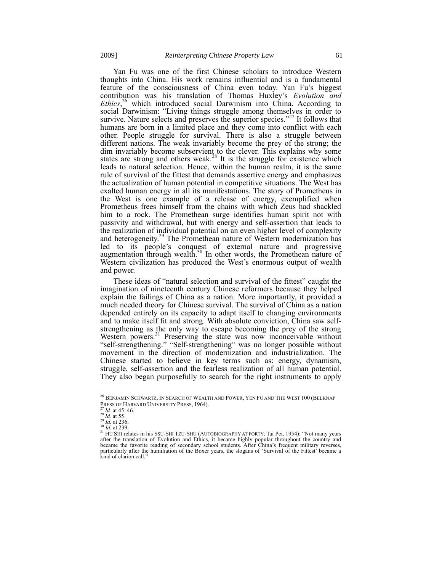Yan Fu was one of the first Chinese scholars to introduce Western thoughts into China. His work remains influential and is a fundamental feature of the consciousness of China even today. Yan Fu's biggest contribution was his translation of Thomas Huxley's *Evolution and Ethics*,<sup>26</sup> which introduced social Darwinism into China. According to social Darwinism: "Living things struggle among themselves in order to survive. Nature selects and preserves the superior species."<sup>27</sup> It follows that humans are born in a limited place and they come into conflict with each other. People struggle for survival. There is also a struggle between different nations. The weak invariably become the prey of the strong; the dim invariably become subservient to the clever. This explains why some states are strong and others weak.<sup>28</sup> It is the struggle for existence which leads to natural selection. Hence, within the human realm, it is the same rule of survival of the fittest that demands assertive energy and emphasizes the actualization of human potential in competitive situations. The West has exalted human energy in all its manifestations. The story of Prometheus in the West is one example of a release of energy, exemplified when Prometheus frees himself from the chains with which Zeus had shackled him to a rock. The Promethean surge identifies human spirit not with passivity and withdrawal, but with energy and self-assertion that leads to the realization of individual potential on an even higher level of complexity and heterogeneity.<sup>29</sup> The Promethean nature of Western modernization has led to its people's conquest of external nature and progressive augmentation through wealth.<sup>30</sup> In other words, the Promethean nature of Western civilization has produced the West's enormous output of wealth and power.

These ideas of "natural selection and survival of the fittest" caught the imagination of nineteenth century Chinese reformers because they helped explain the failings of China as a nation. More importantly, it provided a much needed theory for Chinese survival. The survival of China as a nation depended entirely on its capacity to adapt itself to changing environments and to make itself fit and strong. With absolute conviction, China saw selfstrengthening as the only way to escape becoming the prey of the strong Western powers.<sup>31</sup> Preserving the state was now inconceivable without "self-strengthening." "Self-strengthening" was no longer possible without movement in the direction of modernization and industrialization. The Chinese started to believe in key terms such as: energy, dynamism, struggle, self-assertion and the fearless realization of all human potential. They also began purposefully to search for the right instruments to apply

-

<sup>&</sup>lt;sup>26</sup> BENJAMIN SCHWARTZ, IN SEARCH OF WEALTH AND POWER, YEN FU AND THE WEST 100 (BELKNAP PRESS OF HARVARD UNIVERSITY PRESS, 1964).

<sup>27</sup> *Id.* at 45–46.

<sup>28</sup> *Id.* at 55. <sup>29</sup> *Id.* at 236.

<sup>30</sup> *Id.* at 239.

<sup>&</sup>lt;sup>31</sup> HU SHI relates in his SSU-SHI TZU-SHU (AUTOBIOGRAPHY AT FORTY; Tai Pei, 1954): "Not many years after the translation of Evolution and Ethics, it became highly popular throughout the country and became the favorite reading of secondary school students. After China's frequent military reverses, particularly after the humiliation of the Boxer years, the slogans of 'Survival of the Fittest' became a kind of clarion call."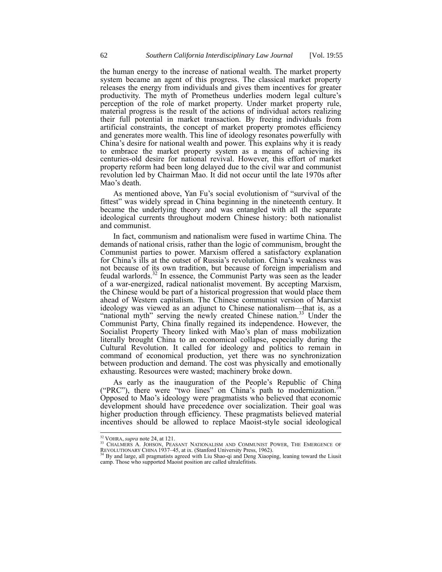the human energy to the increase of national wealth. The market property system became an agent of this progress. The classical market property releases the energy from individuals and gives them incentives for greater productivity. The myth of Prometheus underlies modern legal culture's perception of the role of market property. Under market property rule, material progress is the result of the actions of individual actors realizing their full potential in market transaction. By freeing individuals from artificial constraints, the concept of market property promotes efficiency and generates more wealth. This line of ideology resonates powerfully with China's desire for national wealth and power. This explains why it is ready to embrace the market property system as a means of achieving its centuries-old desire for national revival. However, this effort of market property reform had been long delayed due to the civil war and communist revolution led by Chairman Mao. It did not occur until the late 1970s after Mao's death.

As mentioned above, Yan Fu's social evolutionism of "survival of the fittest" was widely spread in China beginning in the nineteenth century. It became the underlying theory and was entangled with all the separate ideological currents throughout modern Chinese history: both nationalist and communist.

In fact, communism and nationalism were fused in wartime China. The demands of national crisis, rather than the logic of communism, brought the Communist parties to power. Marxism offered a satisfactory explanation for China's ills at the outset of Russia's revolution. China's weakness was not because of its own tradition, but because of foreign imperialism and feudal warlords.<sup>32</sup> In essence, the Communist Party was seen as the leader of a war-energized, radical nationalist movement. By accepting Marxism, the Chinese would be part of a historical progression that would place them ahead of Western capitalism. The Chinese communist version of Marxist ideology was viewed as an adjunct to Chinese nationalism—that is, as a "national myth" serving the newly created Chinese nation.<sup>33</sup> Under the Communist Party, China finally regained its independence. However, the Socialist Property Theory linked with Mao's plan of mass mobilization literally brought China to an economical collapse, especially during the Cultural Revolution. It called for ideology and politics to remain in command of economical production, yet there was no synchronization between production and demand. The cost was physically and emotionally exhausting. Resources were wasted; machinery broke down.

As early as the inauguration of the People's Republic of China ("PRC"), there were "two lines" on China's path to modernization.<sup>34</sup> Opposed to Mao's ideology were pragmatists who believed that economic development should have precedence over socialization. Their goal was higher production through efficiency. These pragmatists believed material incentives should be allowed to replace Maoist-style social ideological

<sup>32</sup> VOHRA, *supra* note 24, at 121.

<sup>&</sup>lt;sup>33</sup> CHALMERS A. JOHSON, PEASANT NATIONALISM AND COMMUNIST POWER, THE EMERGENCE OF REVOLUTIONARY CHINA 1937–45, at ix. (Stanford University Press, 1962).<br><sup>34</sup> By and large, all pragmatists agreed with Liu Shao-qi and Deng Xiaoping, leaning toward the Liusit

camp. Those who supported Maoist position are called ultralefitists.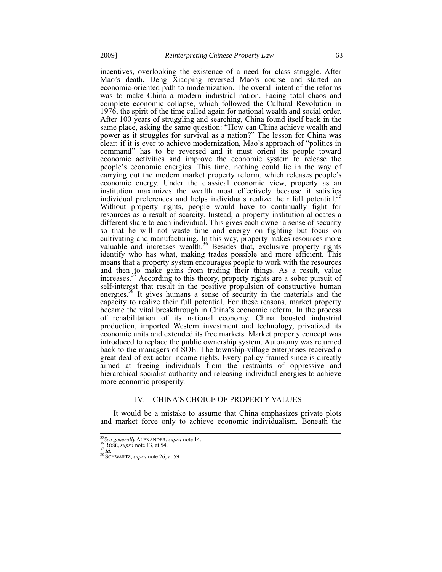incentives, overlooking the existence of a need for class struggle. After Mao's death, Deng Xiaoping reversed Mao's course and started an economic-oriented path to modernization. The overall intent of the reforms was to make China a modern industrial nation. Facing total chaos and complete economic collapse, which followed the Cultural Revolution in 1976, the spirit of the time called again for national wealth and social order. After 100 years of struggling and searching, China found itself back in the same place, asking the same question: "How can China achieve wealth and power as it struggles for survival as a nation?" The lesson for China was clear: if it is ever to achieve modernization, Mao's approach of "politics in command" has to be reversed and it must orient its people toward economic activities and improve the economic system to release the people's economic energies. This time, nothing could lie in the way of carrying out the modern market property reform, which releases people's economic energy. Under the classical economic view, property as an institution maximizes the wealth most effectively because it satisfies individual preferences and helps individuals realize their full potential.<sup>35</sup> Without property rights, people would have to continually fight for resources as a result of scarcity. Instead, a property institution allocates a different share to each individual. This gives each owner a sense of security so that he will not waste time and energy on fighting but focus on cultivating and manufacturing. In this way, property makes resources more valuable and increases wealth. $36$  Besides that, exclusive property rights identify who has what, making trades possible and more efficient. This means that a property system encourages people to work with the resources and then to make gains from trading their things. As a result, value increases.<sup>37</sup> According to this theory, property rights are a sober pursuit of self-interest that result in the positive propulsion of constructive human energies.<sup>38</sup> It gives humans a sense of security in the materials and the capacity to realize their full potential. For these reasons, market property became the vital breakthrough in China's economic reform. In the process of rehabilitation of its national economy, China boosted industrial production, imported Western investment and technology, privatized its economic units and extended its free markets. Market property concept was introduced to replace the public ownership system. Autonomy was returned back to the managers of SOE. The township-village enterprises received a great deal of extractor income rights. Every policy framed since is directly aimed at freeing individuals from the restraints of oppressive and hierarchical socialist authority and releasing individual energies to achieve more economic prosperity.

#### IV. CHINA'S CHOICE OF PROPERTY VALUES

It would be a mistake to assume that China emphasizes private plots and market force only to achieve economic individualism. Beneath the

<sup>35</sup>*See generally* ALEXANDER, *supra* note 14.

<sup>36</sup> ROSE, *supra* note 13, at 54.

<sup>37</sup> *Id.*

<sup>&</sup>lt;sup>38</sup> SCHWARTZ, *supra* note 26, at 59.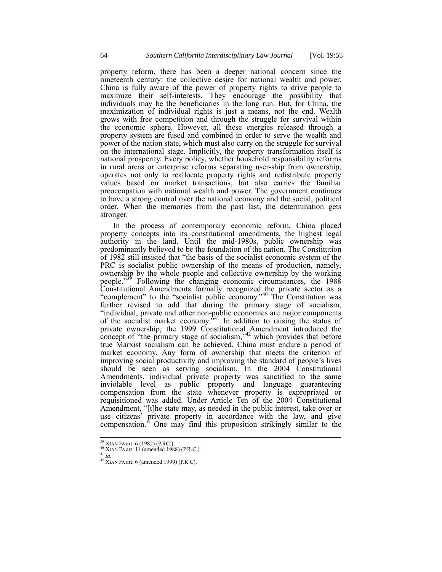property reform, there has been a deeper national concern since the nineteenth century: the collective desire for national wealth and power. China is fully aware of the power of property rights to drive people to maximize their self-interests. They encourage the possibility that individuals may be the beneficiaries in the long run. But, for China, the maximization of individual rights is just a means, not the end. Wealth grows with free competition and through the struggle for survival within the economic sphere. However, all these energies released through a property system are fused and combined in order to serve the wealth and power of the nation state, which must also carry on the struggle for survival on the international stage. Implicitly, the property transformation itself is national prosperity. Every policy, whether household responsibility reforms in rural areas or enterprise reforms separating user-ship from ownership, operates not only to reallocate property rights and redistribute property values based on market transactions, but also carries the familiar preoccupation with national wealth and power. The government continues to have a strong control over the national economy and the social, political order. When the memories from the past last, the determination gets stronger.

In the process of contemporary economic reform, China placed property concepts into its constitutional amendments, the highest legal authority in the land. Until the mid-1980s, public ownership was predominantly believed to be the foundation of the nation. The Constitution of 1982 still insisted that "the basis of the socialist economic system of the PRC is socialist public ownership of the means of production, namely, ownership by the whole people and collective ownership by the working people."<sup>39</sup> Following the changing economic circumstances, the 1988 Constitutional Amendments formally recognized the private sector as a "complement" to the "socialist public economy."<sup>40</sup> The Constitution was further revised to add that during the primary stage of socialism, "individual, private and other non-public economies are major components of the socialist market economy.<sup>541</sup> In addition to raising the status of private ownership, the 1999 Constitutional Amendment introduced the concept of "the primary stage of socialism," $42$  which provides that before true Marxist socialism can be achieved, China must endure a period of market economy. Any form of ownership that meets the criterion of improving social productivity and improving the standard of people's lives should be seen as serving socialism. In the 2004 Constitutional Amendments, individual private property was sanctified to the same inviolable level as public property and language guaranteeing compensation from the state whenever property is expropriated or requisitioned was added. Under Article Ten of the 2004 Constitutional Amendment, "[t]he state may, as needed in the public interest, take over or use citizens' private property in accordance with the law, and give compensation." One may find this proposition strikingly similar to the

<sup>&</sup>lt;sup>39</sup> XIAN FA art. 6 (1982) (P.RC.).<br><sup>40</sup> XIAN FA art. 11 (amended 1988) (P.R.C.).

 $^{41}$   $\overline{Id}$ .

 $42$  XIAN FA art. 6 (amended 1999) (P.R.C).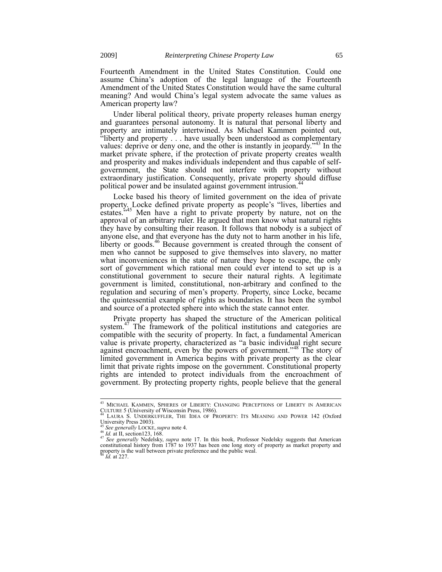Fourteenth Amendment in the United States Constitution. Could one assume China's adoption of the legal language of the Fourteenth Amendment of the United States Constitution would have the same cultural meaning? And would China's legal system advocate the same values as American property law?

Under liberal political theory, private property releases human energy and guarantees personal autonomy. It is natural that personal liberty and property are intimately intertwined. As Michael Kammen pointed out, "liberty and property . . . have usually been understood as complementary values: deprive or deny one, and the other is instantly in jeopardy.<sup>43</sup> In the market private sphere, if the protection of private property creates wealth and prosperity and makes individuals independent and thus capable of selfgovernment, the State should not interfere with property without extraordinary justification. Consequently, private property should diffuse political power and be insulated against government intrusion.<sup>44</sup>

Locke based his theory of limited government on the idea of private property. Locke defined private property as people's "lives, liberties and estates.<sup>5,45</sup> Men have a right to private property by nature, not on the approval of an arbitrary ruler. He argued that men know what natural rights they have by consulting their reason. It follows that nobody is a subject of anyone else, and that everyone has the duty not to harm another in his life, liberty or goods.<sup>46</sup> Because government is created through the consent of men who cannot be supposed to give themselves into slavery, no matter what inconveniences in the state of nature they hope to escape, the only sort of government which rational men could ever intend to set up is a constitutional government to secure their natural rights. A legitimate government is limited, constitutional, non-arbitrary and confined to the regulation and securing of men's property. Property, since Locke, became the quintessential example of rights as boundaries. It has been the symbol and source of a protected sphere into which the state cannot enter.

Private property has shaped the structure of the American political system.<sup>47</sup> The framework of the political institutions and categories are compatible with the security of property. In fact, a fundamental American value is private property, characterized as "a basic individual right secure against encroachment, even by the powers of government."<sup>48</sup> The story of limited government in America begins with private property as the clear limit that private rights impose on the government. Constitutional property rights are intended to protect individuals from the encroachment of government. By protecting property rights, people believe that the general

*Id.* at 227.

<sup>&</sup>lt;sup>43</sup> MICHAEL KAMMEN, SPHERES OF LIBERTY: CHANGING PERCEPTIONS OF LIBERTY IN AMERICAN CULTURE 5 (University of Wisconsin Press, 1986).

LAURA S. UNDERKUFFLER, THE IDEA OF PROPERTY: ITS MEANING AND POWER 142 (Oxford University Press 2003).

<sup>45</sup> *See generally* LOCKE, *supra* note 4.

<sup>&</sup>lt;sup>46</sup> *Id.* at II, section123, 168.

<sup>47</sup> *See generally* Nedelsky, *supra* note 17. In this book, Professor Nedelsky suggests that American constitutional history from 1787 to 1937 has been one long story of property as market property and property is the wall between private preference and the public weal.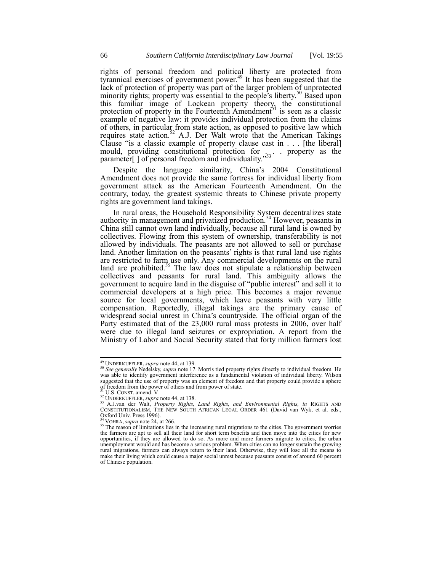rights of personal freedom and political liberty are protected from tyrannical exercises of government power.<sup>49</sup> It has been suggested that the lack of protection of property was part of the larger problem of unprotected minority rights; property was essential to the people's liberty.<sup>50</sup> Based upon this familiar image of Lockean property theory, the constitutional protection of property in the Fourteenth Amendment<sup>51</sup> is seen as a classic example of negative law: it provides individual protection from the claims of others, in particular from state action, as opposed to positive law which requires state action.<sup>52</sup> A.J. Der Walt wrote that the American Takings Clause "is a classic example of property clause cast in . . . [the liberal] mould, providing constitutional protection for . . . property as the parameter[] of personal freedom and individuality."<sup>53</sup>

Despite the language similarity, China's 2004 Constitutional Amendment does not provide the same fortress for individual liberty from government attack as the American Fourteenth Amendment. On the contrary, today, the greatest systemic threats to Chinese private property rights are government land takings.

In rural areas, the Household Responsibility System decentralizes state authority in management and privatized production.<sup>54</sup> However, peasants in China still cannot own land individually, because all rural land is owned by collectives. Flowing from this system of ownership, transferability is not allowed by individuals. The peasants are not allowed to sell or purchase land. Another limitation on the peasants' rights is that rural land use rights are restricted to farm use only. Any commercial developments on the rural land are prohibited.<sup>55</sup> The law does not stipulate a relationship between collectives and peasants for rural land. This ambiguity allows the government to acquire land in the disguise of "public interest" and sell it to commercial developers at a high price. This becomes a major revenue source for local governments, which leave peasants with very little compensation. Reportedly, illegal takings are the primary cause of widespread social unrest in China's countryside. The official organ of the Party estimated that of the 23,000 rural mass protests in 2006, over half were due to illegal land seizures or expropriation. A report from the Ministry of Labor and Social Security stated that forty million farmers lost

 $\overline{a}$ 

<sup>49</sup> UNDERKUFFLER, *supra* note 44, at 139.

<sup>&</sup>lt;sup>50</sup> See generally Nedelsky, *supra* note 17. Morris tied property rights directly to individual freedom. He was able to identify government interference as a fundamental violation of individual liberty. Wilson suggested that the use of property was an element of freedom and that property could provide a sphere of freedom from the power of others and from power of state.<br><sup>51</sup> U.S. CONST. amend. V.

<sup>52</sup> UNDERKUFFLER, *supra* note 44, at 138.

<sup>&</sup>lt;sup>53</sup> A.J.van der Walt, *Property Rights, Land Rights, and Environmental Rights, in* RIGHTS AND CONSTITUTIONALISM, THE NEW SOUTH AFRICAN LEGAL ORDER 461 (David van Wyk, et al. eds.,  $Qx$  ford Univ. Press 1996).

VOHRA, *supra* note 24, at 266.

<sup>&</sup>lt;sup>55</sup> The reason of limitations lies in the increasing rural migrations to the cities. The government worries the farmers are apt to sell all their land for short term benefits and then move into the cities for new opportunities, if they are allowed to do so. As more and more farmers migrate to cities, the urban unemployment would and has become a serious problem. When cities can no longer sustain the growing rural migrations, farmers can always return to their land. Otherwise, they will lose all the means to make their living which could cause a major social unrest because peasants consist of around 60 percent of Chinese population.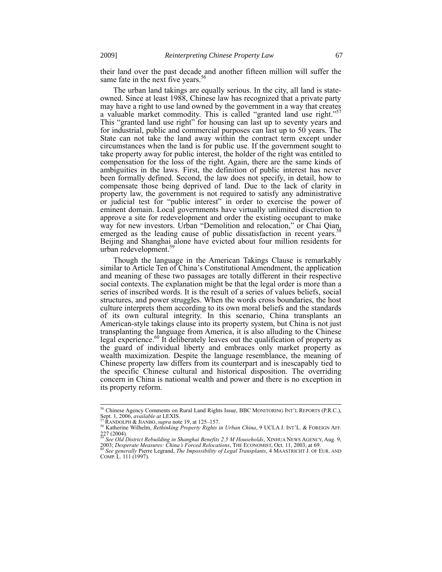their land over the past decade and another fifteen million will suffer the same fate in the next five years.<sup>56</sup>

The urban land takings are equally serious. In the city, all land is stateowned. Since at least 1988, Chinese law has recognized that a private party may have a right to use land owned by the government in a way that creates a valuable market commodity. This is called "granted land use right." 57 This "granted land use right" for housing can last up to seventy years and for industrial, public and commercial purposes can last up to 50 years. The State can not take the land away within the contract term except under circumstances when the land is for public use. If the government sought to take property away for public interest, the holder of the right was entitled to compensation for the loss of the right. Again, there are the same kinds of ambiguities in the laws. First, the definition of public interest has never been formally defined. Second, the law does not specify, in detail, how to compensate those being deprived of land. Due to the lack of clarity in property law, the government is not required to satisfy any administrative or judicial test for "public interest" in order to exercise the power of eminent domain. Local governments have virtually unlimited discretion to approve a site for redevelopment and order the existing occupant to make way for new investors. Urban "Demolition and relocation," or Chai Qian, new real of the location cause of public disertification in recent vectors emerged as the leading cause of public dissatisfaction in recent years.<sup>3</sup> Beijing and Shanghai alone have evicted about four million residents for urban redevelopment.<sup>59</sup>

Though the language in the American Takings Clause is remarkably similar to Article Ten of China's Constitutional Amendment, the application and meaning of these two passages are totally different in their respective social contexts. The explanation might be that the legal order is more than a series of inscribed words. It is the result of a series of values beliefs, social structures, and power struggles. When the words cross boundaries, the host culture interprets them according to its own moral beliefs and the standards of its own cultural integrity. In this scenario, China transplants an American-style takings clause into its property system, but China is not just transplanting the language from America, it is also alluding to the Chinese legal experience.<sup>60</sup> It deliberately leaves out the qualification of property as the guard of individual liberty and embraces only market property as wealth maximization. Despite the language resemblance, the meaning of Chinese property law differs from its counterpart and is inescapably tied to the specific Chinese cultural and historical disposition. The overriding concern in China is national wealth and power and there is no exception in its property reform.

-

 $56$  Chinese Agency Comments on Rural Land Rights Issue, BBC MONITORING INT'L REPORTS (P.R.C.), Sept. 1, 2006, *available at* LEXIS.

<sup>57</sup> RANDOLPH & JIANBO, *supra* note 19, at 125–157.

<sup>58</sup> Katherine Wilhelm, *Rethinking Property Rights in Urban China*, 9 UCLA J. INT'L. & FOREIGN AFF. 227 (2004). <sup>59</sup> *See Old District Rebuilding in Shanghai Benefits 2.5 M Households*, XINHUA NEWS AGENCY, Aug. 9,

<sup>2003;</sup> *Desperate Measures: China's Forced Relocations*, THE ECONOMIST, Oct. 11, 2003, at 69. <sup>60</sup> *See generally* Pierre Legrand, *The Impossibility of Legal Transplants*, 4 MAASTRICHT J. OF EUR. AND

COMP. L. 111 (1997).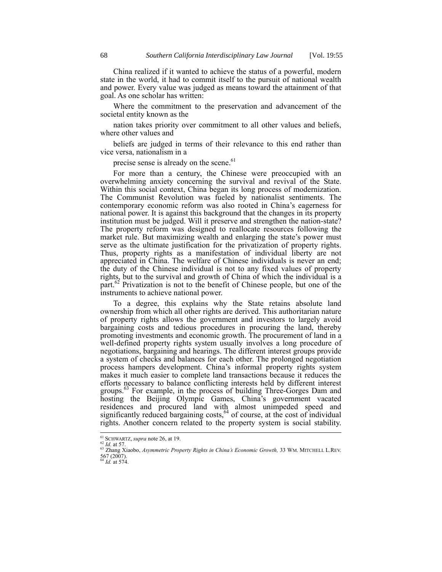China realized if it wanted to achieve the status of a powerful, modern state in the world, it had to commit itself to the pursuit of national wealth and power. Every value was judged as means toward the attainment of that goal. As one scholar has written:

Where the commitment to the preservation and advancement of the societal entity known as the

nation takes priority over commitment to all other values and beliefs, where other values and

beliefs are judged in terms of their relevance to this end rather than vice versa, nationalism in a

precise sense is already on the scene.<sup>61</sup>

For more than a century, the Chinese were preoccupied with an overwhelming anxiety concerning the survival and revival of the State. Within this social context, China began its long process of modernization. The Communist Revolution was fueled by nationalist sentiments. The contemporary economic reform was also rooted in China's eagerness for national power. It is against this background that the changes in its property institution must be judged. Will it preserve and strengthen the nation-state? The property reform was designed to reallocate resources following the market rule. But maximizing wealth and enlarging the state's power must serve as the ultimate justification for the privatization of property rights. Thus, property rights as a manifestation of individual liberty are not appreciated in China. The welfare of Chinese individuals is never an end; the duty of the Chinese individual is not to any fixed values of property rights, but to the survival and growth of China of which the individual is a part. $62$  Privatization is not to the benefit of Chinese people, but one of the instruments to achieve national power.

To a degree, this explains why the State retains absolute land ownership from which all other rights are derived. This authoritarian nature of property rights allows the government and investors to largely avoid bargaining costs and tedious procedures in procuring the land, thereby promoting investments and economic growth. The procurement of land in a well-defined property rights system usually involves a long procedure of negotiations, bargaining and hearings. The different interest groups provide a system of checks and balances for each other. The prolonged negotiation process hampers development. China's informal property rights system makes it much easier to complete land transactions because it reduces the efforts necessary to balance conflicting interests held by different interest groups.<sup>63</sup> For example, in the process of building Three-Gorges Dam and hosting the Beijing Olympic Games, China's government vacated residences and procured land with almost unimpeded speed and significantly reduced bargaining costs,<sup>64</sup> of course, at the cost of individual rights. Another concern related to the property system is social stability.

<sup>61</sup> SCHWARTZ, *supra* note 26, at 19.

 $62 \tilde{Id}$ . at 57.

<sup>63</sup> Zhang Xiaobo, *Asymmetric Property Rights in China's Economic Growth,* 33 WM. MITCHELL L.REV. 567 (2007). <sup>64</sup> *Id.* at 574.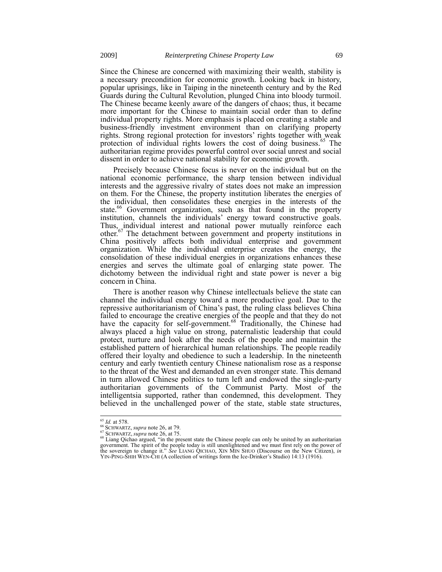Since the Chinese are concerned with maximizing their wealth, stability is a necessary precondition for economic growth. Looking back in history, popular uprisings, like in Taiping in the nineteenth century and by the Red Guards during the Cultural Revolution, plunged China into bloody turmoil. The Chinese became keenly aware of the dangers of chaos; thus, it became more important for the Chinese to maintain social order than to define individual property rights. More emphasis is placed on creating a stable and business-friendly investment environment than on clarifying property rights. Strong regional protection for investors' rights together with weak protection of individual rights lowers the cost of doing business.<sup>65</sup> The authoritarian regime provides powerful control over social unrest and social dissent in order to achieve national stability for economic growth.

Precisely because Chinese focus is never on the individual but on the national economic performance, the sharp tension between individual interests and the aggressive rivalry of states does not make an impression on them. For the Chinese, the property institution liberates the energies of the individual, then consolidates these energies in the interests of the state.<sup>66</sup> Government organization, such as that found in the property institution, channels the individuals' energy toward constructive goals. Thus, individual interest and national power mutually reinforce each other.<sup>67</sup> The detachment between government and property institutions in China positively affects both individual enterprise and government organization. While the individual enterprise creates the energy, the consolidation of these individual energies in organizations enhances these energies and serves the ultimate goal of enlarging state power. The dichotomy between the individual right and state power is never a big concern in China.

There is another reason why Chinese intellectuals believe the state can channel the individual energy toward a more productive goal. Due to the repressive authoritarianism of China's past, the ruling class believes China failed to encourage the creative energies of the people and that they do not have the capacity for self-government.<sup>68</sup> Traditionally, the Chinese had always placed a high value on strong, paternalistic leadership that could protect, nurture and look after the needs of the people and maintain the established pattern of hierarchical human relationships. The people readily offered their loyalty and obedience to such a leadership. In the nineteenth century and early twentieth century Chinese nationalism rose as a response to the threat of the West and demanded an even stronger state. This demand in turn allowed Chinese politics to turn left and endowed the single-party authoritarian governments of the Communist Party. Most of the intelligentsia supported, rather than condemned, this development. They believed in the unchallenged power of the state, stable state structures,

<sup>65</sup> *Id.* at 578.

<sup>66</sup> SCHWARTZ, *supra* note 26, at 79.

<sup>67</sup> SCHWARTZ, *supra* note 26, at 75.

<sup>&</sup>lt;sup>68</sup> Liang Qichao argued, "in the present state the Chinese people can only be united by an authoritarian government. The spirit of the people today is still unenlightened and we must first rely on the power of the sovereign to change it." *See* LIANG QICHAO, XIN MIN SHUO (Discourse on the New Citizen), *in* YIN-PING-SHIH WEN-CHI (A collection of writings form the Ice-Drinker's Studio) 14:13 (1916).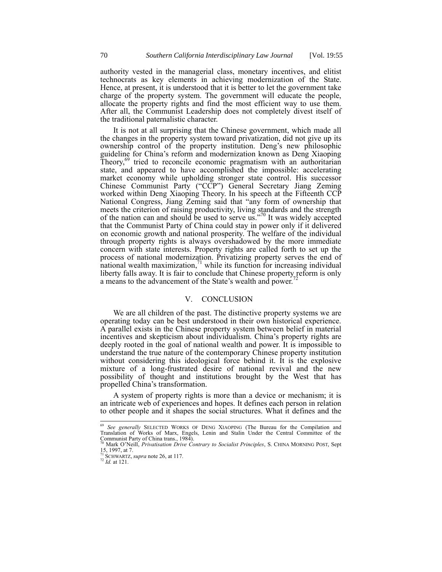authority vested in the managerial class, monetary incentives, and elitist technocrats as key elements in achieving modernization of the State. Hence, at present, it is understood that it is better to let the government take charge of the property system. The government will educate the people, allocate the property rights and find the most efficient way to use them. After all, the Communist Leadership does not completely divest itself of the traditional paternalistic character.

It is not at all surprising that the Chinese government, which made all the changes in the property system toward privatization, did not give up its ownership control of the property institution. Deng's new philosophic guideline for China's reform and modernization known as Deng Xiaoping Theory, $69$  tried to reconcile economic pragmatism with an authoritarian state, and appeared to have accomplished the impossible: accelerating market economy while upholding stronger state control. His successor Chinese Communist Party ("CCP") General Secretary Jiang Zeming worked within Deng Xiaoping Theory. In his speech at the Fifteenth CCP National Congress, Jiang Zeming said that "any form of ownership that meets the criterion of raising productivity, living standards and the strength of the nation can and should be used to serve us.<sup>370</sup> It was widely accepted that the Communist Party of China could stay in power only if it delivered on economic growth and national prosperity. The welfare of the individual through property rights is always overshadowed by the more immediate concern with state interests. Property rights are called forth to set up the process of national modernization. Privatizing property serves the end of national wealth maximization, $\frac{1}{1}$  while its function for increasing individual liberty falls away. It is fair to conclude that Chinese property reform is only a means to the advancement of the State's wealth and power.<sup>7</sup>

#### V. CONCLUSION

We are all children of the past. The distinctive property systems we are operating today can be best understood in their own historical experience. A parallel exists in the Chinese property system between belief in material incentives and skepticism about individualism. China's property rights are deeply rooted in the goal of national wealth and power. It is impossible to understand the true nature of the contemporary Chinese property institution without considering this ideological force behind it. It is the explosive mixture of a long-frustrated desire of national revival and the new possibility of thought and institutions brought by the West that has propelled China's transformation.

A system of property rights is more than a device or mechanism; it is an intricate web of experiences and hopes. It defines each person in relation to other people and it shapes the social structures. What it defines and the

<sup>69</sup> *See generally* SELECTED WORKS OF DENG XIAOPING (The Bureau for the Compilation and Translation of Works of Marx, Engels, Lenin and Stalin Under the Central Committee of the Communist Party of China trans., 1984). <sup>70</sup> Mark O'Neill, *Privatisation Drive Contrary to Socialist Principles*, S. CHINA MORNING POST, Sept

<sup>15, 1997,</sup> at 7. <sup>71</sup> SCHWARTZ, *supra* note 26, at 117.

<sup>72</sup> *Id.* at 121.